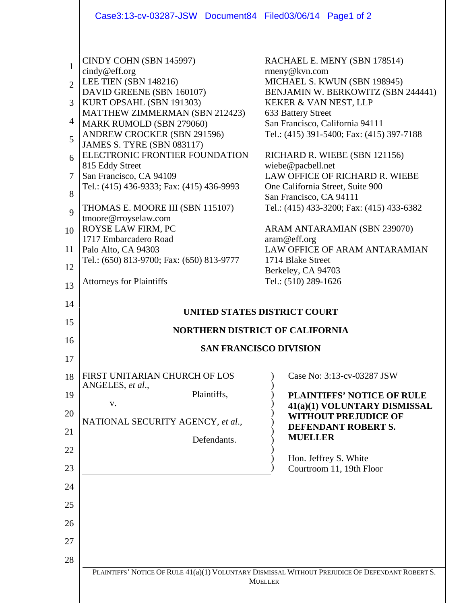|                                                   | Case3:13-cv-03287-JSW Document84 Filed03/06/14 Page1 of 2                                                                                                                                                                                                                                                                                                                                 |                                                                                                                                                                                                                                                                                                                                                                                |  |
|---------------------------------------------------|-------------------------------------------------------------------------------------------------------------------------------------------------------------------------------------------------------------------------------------------------------------------------------------------------------------------------------------------------------------------------------------------|--------------------------------------------------------------------------------------------------------------------------------------------------------------------------------------------------------------------------------------------------------------------------------------------------------------------------------------------------------------------------------|--|
| 1<br>$\overline{2}$<br>3<br>4<br>5<br>6<br>7<br>8 | CINDY COHN (SBN 145997)<br>cindy@eff.org<br>LEE TIEN (SBN 148216)<br>DAVID GREENE (SBN 160107)<br>KURT OPSAHL (SBN 191303)<br>MATTHEW ZIMMERMAN (SBN 212423)<br>MARK RUMOLD (SBN 279060)<br>ANDREW CROCKER (SBN 291596)<br><b>JAMES S. TYRE (SBN 083117)</b><br>ELECTRONIC FRONTIER FOUNDATION<br>815 Eddy Street<br>San Francisco, CA 94109<br>Tel.: (415) 436-9333; Fax: (415) 436-9993 | RACHAEL E. MENY (SBN 178514)<br>rmeny@kvn.com<br>MICHAEL S. KWUN (SBN 198945)<br>BENJAMIN W. BERKOWITZ (SBN 244441)<br>KEKER & VAN NEST, LLP<br>633 Battery Street<br>San Francisco, California 94111<br>Tel.: (415) 391-5400; Fax: (415) 397-7188<br>RICHARD R. WIEBE (SBN 121156)<br>wiebe@pacbell.net<br>LAW OFFICE OF RICHARD R. WIEBE<br>One California Street, Suite 900 |  |
| 9                                                 | THOMAS E. MOORE III (SBN 115107)<br>tmoore@rroyselaw.com                                                                                                                                                                                                                                                                                                                                  | San Francisco, CA 94111<br>Tel.: (415) 433-3200; Fax: (415) 433-6382                                                                                                                                                                                                                                                                                                           |  |
| 10                                                | ROYSE LAW FIRM, PC                                                                                                                                                                                                                                                                                                                                                                        | ARAM ANTARAMIAN (SBN 239070)                                                                                                                                                                                                                                                                                                                                                   |  |
| 11                                                | 1717 Embarcadero Road<br>Palo Alto, CA 94303                                                                                                                                                                                                                                                                                                                                              | aram@eff.org<br>LAW OFFICE OF ARAM ANTARAMIAN                                                                                                                                                                                                                                                                                                                                  |  |
| 12                                                | Tel.: (650) 813-9700; Fax: (650) 813-9777                                                                                                                                                                                                                                                                                                                                                 | 1714 Blake Street<br>Berkeley, CA 94703                                                                                                                                                                                                                                                                                                                                        |  |
| 13                                                | <b>Attorneys for Plaintiffs</b>                                                                                                                                                                                                                                                                                                                                                           | Tel.: (510) 289-1626                                                                                                                                                                                                                                                                                                                                                           |  |
| 14                                                |                                                                                                                                                                                                                                                                                                                                                                                           |                                                                                                                                                                                                                                                                                                                                                                                |  |
|                                                   | UNITED STATES DISTRICT COURT<br><b>NORTHERN DISTRICT OF CALIFORNIA</b>                                                                                                                                                                                                                                                                                                                    |                                                                                                                                                                                                                                                                                                                                                                                |  |
| 15                                                |                                                                                                                                                                                                                                                                                                                                                                                           |                                                                                                                                                                                                                                                                                                                                                                                |  |
| 16                                                |                                                                                                                                                                                                                                                                                                                                                                                           |                                                                                                                                                                                                                                                                                                                                                                                |  |
| 17                                                |                                                                                                                                                                                                                                                                                                                                                                                           | <b>SAN FRANCISCO DIVISION</b>                                                                                                                                                                                                                                                                                                                                                  |  |
| 18                                                | FIRST UNITARIAN CHURCH OF LOS                                                                                                                                                                                                                                                                                                                                                             | Case No: 3:13-cv-03287 JSW                                                                                                                                                                                                                                                                                                                                                     |  |
| 19                                                | ANGELES, et al.,<br>Plaintiffs,                                                                                                                                                                                                                                                                                                                                                           | <b>PLAINTIFFS' NOTICE OF RULE</b>                                                                                                                                                                                                                                                                                                                                              |  |
| 20                                                | V.<br>NATIONAL SECURITY AGENCY, et al.,                                                                                                                                                                                                                                                                                                                                                   | 41(a)(1) VOLUNTARY DISMISSAL<br><b>WITHOUT PREJUDICE OF</b>                                                                                                                                                                                                                                                                                                                    |  |
| 21                                                | Defendants.                                                                                                                                                                                                                                                                                                                                                                               | DEFENDANT ROBERT S.<br><b>MUELLER</b>                                                                                                                                                                                                                                                                                                                                          |  |
| 22                                                |                                                                                                                                                                                                                                                                                                                                                                                           | Hon. Jeffrey S. White                                                                                                                                                                                                                                                                                                                                                          |  |
| 23                                                |                                                                                                                                                                                                                                                                                                                                                                                           | Courtroom 11, 19th Floor                                                                                                                                                                                                                                                                                                                                                       |  |
| 24                                                |                                                                                                                                                                                                                                                                                                                                                                                           |                                                                                                                                                                                                                                                                                                                                                                                |  |
| 25                                                |                                                                                                                                                                                                                                                                                                                                                                                           |                                                                                                                                                                                                                                                                                                                                                                                |  |
| 26                                                |                                                                                                                                                                                                                                                                                                                                                                                           |                                                                                                                                                                                                                                                                                                                                                                                |  |
| 27                                                |                                                                                                                                                                                                                                                                                                                                                                                           |                                                                                                                                                                                                                                                                                                                                                                                |  |
| 28                                                |                                                                                                                                                                                                                                                                                                                                                                                           |                                                                                                                                                                                                                                                                                                                                                                                |  |
|                                                   |                                                                                                                                                                                                                                                                                                                                                                                           | PLAINTIFFS' NOTICE OF RULE 41(a)(1) VOLUNTARY DISMISSAL WITHOUT PREJUDICE OF DEFENDANT ROBERT S.<br><b>MUELLER</b>                                                                                                                                                                                                                                                             |  |